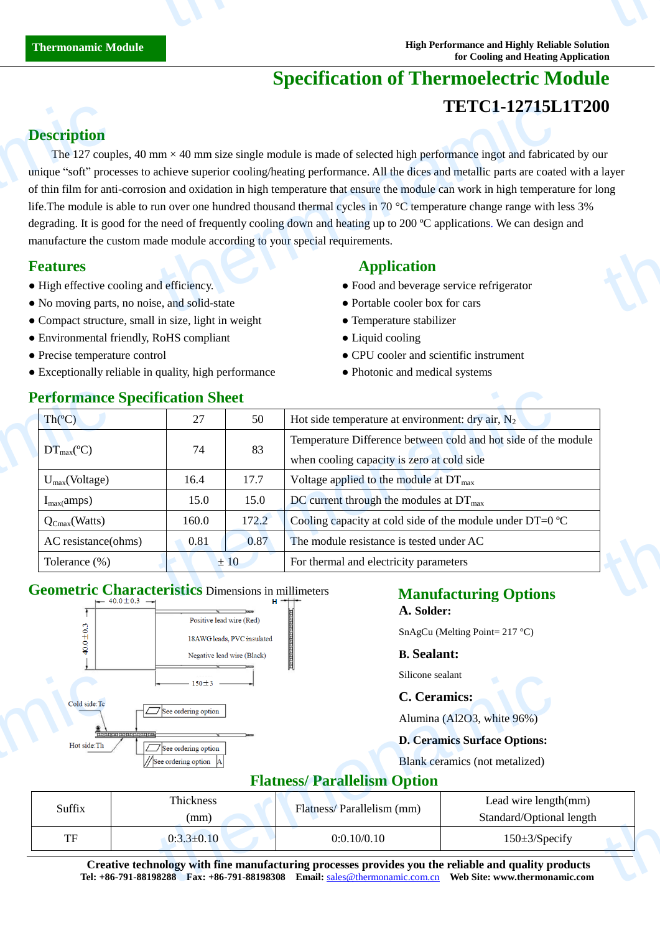# **Specification of Thermoelectric Module TETC1-12715L1T200**

### **Description**

The 127 couples, 40 mm  $\times$ 40 mm size single module is made of selected high performance ingot and fabricated by our unique "soft" processes to achieve superior cooling/heating performance. All the dices and metallic parts are coated with a layer of thin film for anti-corrosion and oxidation in high temperature that ensure the module can work in high temperature for long life. The module is able to run over one hundred thousand thermal cycles in 70  $\degree$  temperature change range with less 3% degrading. It is good for the need of frequently cooling down and heating up to 200  $\degree$  applications. We can design and manufacture the custom made module according to your special requirements. **Description**<br>The 127 coup<br>unique "soft" proc<br>of thin film for ant<br>life.The module is<br>degrading. It is goo<br>manufacture the cu<br>**Features**<br>• High effective co<br>• No moving parts **TETC1-12715L**<br>
ITETC1-12715L<br>
Im  $\times$  40 mm size single module is made of selected high performance ingot and fabrica<br>
achieve superior cooling/heating performance. All the dices and metallic parts are coate<br>
on and oxid thermonal control of the control of the control of the control of the control of the control of the control of the control of the control of the control of the control of the control of the control of the control of the co

- High effective cooling and efficiency.
- No moving parts, no noise, and solid-state Portable cooler box for cars
- Compact structure, small in size, light in weight Temperature stabilizer
- Environmental friendly, RoHS compliant Liquid cooling
- 
- Exceptionally reliable in quality, high performance • • Photonic and medical systems

### **Features** Application **Application**

- 
- 
- 
- 
- Precise temperature control CPU cooler and scientific instrument
	-

| <b>Performance Specification Sheet</b> |       |       |                                                                     |  |  |
|----------------------------------------|-------|-------|---------------------------------------------------------------------|--|--|
| Th(C)                                  | 27    | 50    | Hot side temperature at environment: dry air, $N_2$                 |  |  |
|                                        | 74    | 83    | Temperature Difference between cold and hot side of the module      |  |  |
| $DT_{max}(\mathbb{C})$                 |       |       | when cooling capacity is zero at cold side                          |  |  |
| $U_{max}(Voltage)$                     | 16.4  | 17.7  | Voltage applied to the module at $DT_{\text{max}}$                  |  |  |
| $I_{max}(amps)$                        | 15.0  | 15.0  | DC current through the modules at $DT_{\text{max}}$                 |  |  |
| $Q_{Cmax}(Watts)$                      | 160.0 | 172.2 | Cooling capacity at cold side of the module under DT=0 $\mathbb{C}$ |  |  |
| AC resistance(ohms)                    | 0.81  | 0.87  | The module resistance is tested under AC                            |  |  |
| Tolerance (%)                          | ±10   |       | For thermal and electricity parameters                              |  |  |

## **Geometric Characteristics** Dimensions in millimeters



# **Manufacturing Options**

**A. Solder:**

SnAgCu (Melting Point= 217 °C)

#### **B. Sealant:**

Silicone sealant

#### **C. Ceramics:**

#### **D. Ceramics Surface Options:**

### **Flatness/ Parallelism Option**

|                                                                         | $150 + 3$<br>$\sim$ $\sim$ $\sim$ $\sim$ $\sim$ | Silicone sealant                                                                                                                                                                                                   |                                |  |  |
|-------------------------------------------------------------------------|-------------------------------------------------|--------------------------------------------------------------------------------------------------------------------------------------------------------------------------------------------------------------------|--------------------------------|--|--|
| Cold side:Tc                                                            |                                                 | C. Ceramics:                                                                                                                                                                                                       |                                |  |  |
| $\overline{\phantom{a}}$                                                | $\Box$ See ordering option                      |                                                                                                                                                                                                                    | Alumina (Al2O3, white 96%)     |  |  |
| ,,,,,,,,,,,,,,,,,,,,,,,,,,<br>Hot side:Th<br>$\Box$ See ordering option |                                                 | <b>D. Ceramics Surface Options:</b>                                                                                                                                                                                |                                |  |  |
|                                                                         | //See ordering option  A                        |                                                                                                                                                                                                                    | Blank ceramics (not metalized) |  |  |
| <b>Flatness/Parallelism Option</b>                                      |                                                 |                                                                                                                                                                                                                    |                                |  |  |
| Suffix                                                                  | Thickness                                       | Flatness/Parallelism (mm)                                                                                                                                                                                          | Lead wire length(mm)           |  |  |
|                                                                         | (mm)                                            |                                                                                                                                                                                                                    | Standard/Optional length       |  |  |
| <b>TF</b>                                                               | $0:3.3 \pm 0.10$                                | 0:0.10/0.10                                                                                                                                                                                                        | $150 \pm 3$ /Specify           |  |  |
|                                                                         |                                                 | Creative technology with fine manufacturing processes provides you the reliable and quality products<br>Tel: +86-791-88198288 Fax: +86-791-88198308 Email: sales @thermonamic.com.cn Web Site: www.thermonamic.com |                                |  |  |

### **Performance Specification Sheet**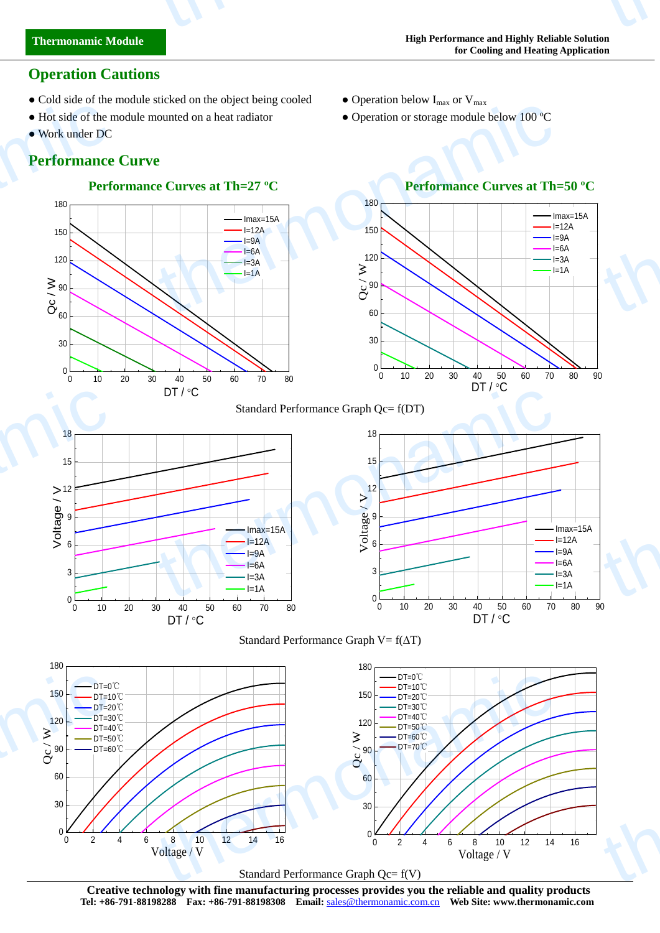## **Performance Curve**

● Work under DC

thermonamic



• Cold side of the module sticked on the object being cooled • Operation below  $I_{max}$  or  $V_{max}$ 





#### Standard Performance Graph Qc= f(DT)

the community of the community of the community of the community of the community of the community of the community of the community of the community of the community of the community of the community of the community of t









**Creative technology with fine manufacturing processes provides you the reliable and quality products Tel: +86-791-88198288 Fax: +86-791-88198308 Email:** sales@thermonamic.com.cn **Web Site: www.thermonamic.com**

**Operation Cautions**

• Hot side of the module mounted on a heat radiator • Operation or storage module below 100 °C